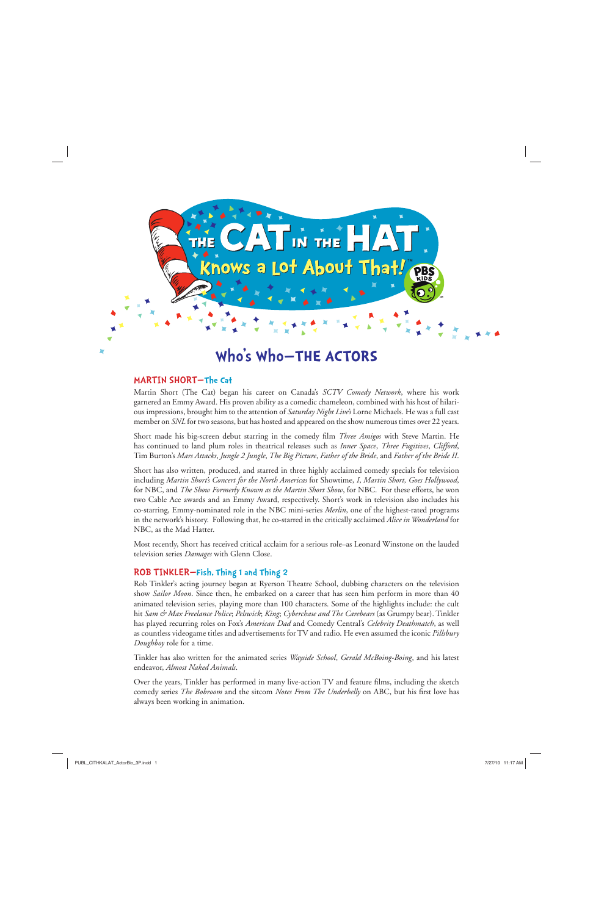

# **Who's Who—THE ACTORS**

### MARTIN SHORT—**The Cat**

Martin Short (The Cat) began his career on Canada's *SCTV Comedy Network*, where his work garnered an Emmy Award. His proven ability as a comedic chameleon, combined with his host of hilarious impressions, brought him to the attention of *Saturday Night Live's* Lorne Michaels. He was a full cast member on *SNL* for two seasons, but has hosted and appeared on the show numerous times over 22 years.

Short made his big-screen debut starring in the comedy film *Three Amigos* with Steve Martin. He has continued to land plum roles in theatrical releases such as *Inner Space*, *Three Fugitives*, *Clifford*, Tim Burton's *Mars Attacks*, *Jungle 2 Jungle*, *The Big Picture*, *Father of the Bride*, and *Father of the Bride II*.

Short has also written, produced, and starred in three highly acclaimed comedy specials for television including *Martin Short's Concert for the North Americas* for Showtime, *I*, *Martin Short, Goes Hollywood*, for NBC, and *The Show Formerly Known as the Martin Short Show*, for NBC. For these efforts, he won two Cable Ace awards and an Emmy Award, respectively. Short's work in television also includes his co-starring, Emmy-nominated role in the NBC mini-series *Merlin*, one of the highest-rated programs in the network's history. Following that, he co-starred in the critically acclaimed *Alice in Wonderland* for NBC, as the Mad Hatter.

Most recently, Short has received critical acclaim for a serious role–as Leonard Winstone on the lauded television series *Damages* with Glenn Close.

## ROB TINKLER—**Fish, Thing 1 and Thing 2**

Rob Tinkler's acting journey began at Ryerson Theatre School, dubbing characters on the television show *Sailor Moon*. Since then, he embarked on a career that has seen him perform in more than 40 animated television series, playing more than 100 characters. Some of the highlights include: the cult hit *Sam & Max Freelance Police*; *Pelswick*; *King*; *Cyberchase and The Carebears* (as Grumpy bear). Tinkler has played recurring roles on Fox's *American Dad* and Comedy Central's *Celebrity Deathmatch*, as well as countless videogame titles and advertisements for TV and radio. He even assumed the iconic *Pillsbury Doughboy* role for a time.

Tinkler has also written for the animated series *Wayside School*, *Gerald McBoing-Boing*, and his latest endeavor, *Almost Naked Animals*.

Over the years, Tinkler has performed in many live-action TV and feature films, including the sketch comedy series *The Bobroom* and the sitcom *Notes From The Underbelly* on ABC, but his first love has always been working in animation.